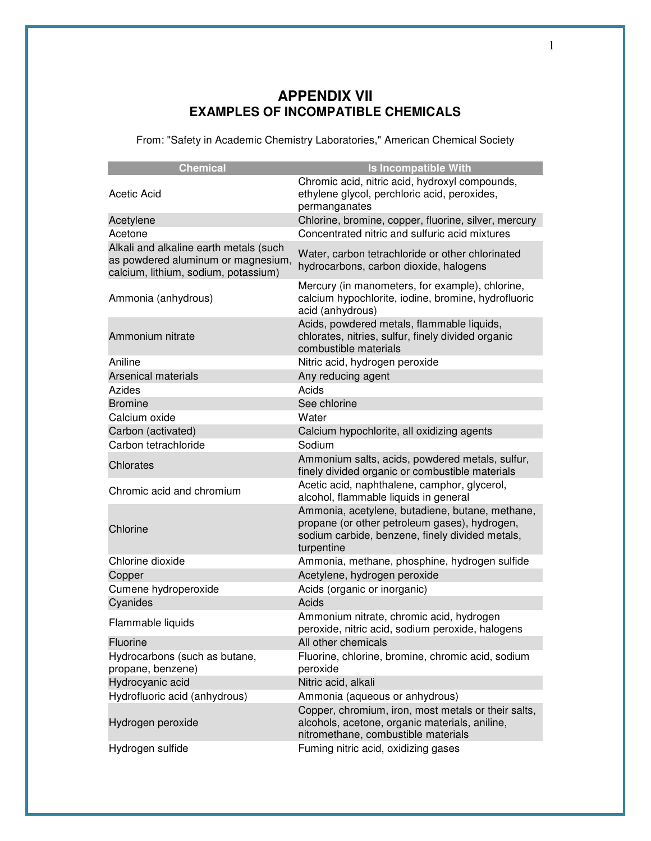## **APPENDIX VII EXAMPLES OF INCOMPATIBLE CHEMICALS**

From: "Safety in Academic Chemistry Laboratories," American Chemical Society

| <b>Chemical</b>                                                                                                      | <b>Is Incompatible With</b>                                                                                                                                       |
|----------------------------------------------------------------------------------------------------------------------|-------------------------------------------------------------------------------------------------------------------------------------------------------------------|
| <b>Acetic Acid</b>                                                                                                   | Chromic acid, nitric acid, hydroxyl compounds,<br>ethylene glycol, perchloric acid, peroxides,<br>permanganates                                                   |
| Acetylene                                                                                                            | Chlorine, bromine, copper, fluorine, silver, mercury                                                                                                              |
| Acetone                                                                                                              | Concentrated nitric and sulfuric acid mixtures                                                                                                                    |
| Alkali and alkaline earth metals (such<br>as powdered aluminum or magnesium,<br>calcium, lithium, sodium, potassium) | Water, carbon tetrachloride or other chlorinated<br>hydrocarbons, carbon dioxide, halogens                                                                        |
| Ammonia (anhydrous)                                                                                                  | Mercury (in manometers, for example), chlorine,<br>calcium hypochlorite, iodine, bromine, hydrofluoric<br>acid (anhydrous)                                        |
| Ammonium nitrate                                                                                                     | Acids, powdered metals, flammable liquids,<br>chlorates, nitries, sulfur, finely divided organic<br>combustible materials                                         |
| Aniline                                                                                                              | Nitric acid, hydrogen peroxide                                                                                                                                    |
| <b>Arsenical materials</b>                                                                                           | Any reducing agent                                                                                                                                                |
| Azides                                                                                                               | Acids                                                                                                                                                             |
| <b>Bromine</b>                                                                                                       | See chlorine                                                                                                                                                      |
| Calcium oxide                                                                                                        | Water                                                                                                                                                             |
| Carbon (activated)                                                                                                   | Calcium hypochlorite, all oxidizing agents                                                                                                                        |
| Carbon tetrachloride                                                                                                 | Sodium                                                                                                                                                            |
| Chlorates                                                                                                            | Ammonium salts, acids, powdered metals, sulfur,<br>finely divided organic or combustible materials                                                                |
| Chromic acid and chromium                                                                                            | Acetic acid, naphthalene, camphor, glycerol,<br>alcohol, flammable liquids in general                                                                             |
| Chlorine                                                                                                             | Ammonia, acetylene, butadiene, butane, methane,<br>propane (or other petroleum gases), hydrogen,<br>sodium carbide, benzene, finely divided metals,<br>turpentine |
| Chlorine dioxide                                                                                                     | Ammonia, methane, phosphine, hydrogen sulfide                                                                                                                     |
| Copper                                                                                                               | Acetylene, hydrogen peroxide                                                                                                                                      |
| Cumene hydroperoxide<br>Cyanides                                                                                     | Acids (organic or inorganic)<br>Acids                                                                                                                             |
| Flammable liquids                                                                                                    | Ammonium nitrate, chromic acid, hydrogen<br>peroxide, nitric acid, sodium peroxide, halogens                                                                      |
| Fluorine                                                                                                             | All other chemicals                                                                                                                                               |
| Hydrocarbons (such as butane,<br>propane, benzene)                                                                   | Fluorine, chlorine, bromine, chromic acid, sodium<br>peroxide                                                                                                     |
| Hydrocyanic acid                                                                                                     | Nitric acid, alkali                                                                                                                                               |
| Hydrofluoric acid (anhydrous)                                                                                        | Ammonia (aqueous or anhydrous)                                                                                                                                    |
| Hydrogen peroxide                                                                                                    | Copper, chromium, iron, most metals or their salts,<br>alcohols, acetone, organic materials, aniline,<br>nitromethane, combustible materials                      |
| Hydrogen sulfide                                                                                                     | Fuming nitric acid, oxidizing gases                                                                                                                               |